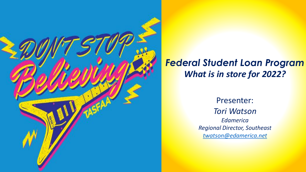

#### *Federal Student Loan Program What is in store for 2022?*

Presenter: *Tori Watson Edamerica Regional Director, Southeast [twatson@edamerica.net](mailto:twatson@edamerica.net)*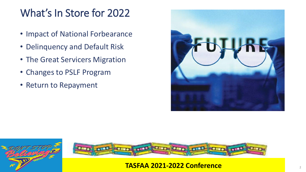# What's In Store for 2022

- Impact of National Forbearance
- Delinquency and Default Risk
- The Great Servicers Migration
- Changes to PSLF Program
- Return to Repayment





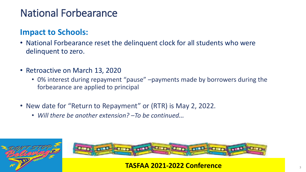# National Forbearance

#### **Impact to Schools:**

- National Forbearance reset the delinquent clock for all students who were delinquent to zero.
- Retroactive on March 13, 2020
	- 0% interest during repayment "pause" –payments made by borrowers during the forbearance are applied to principal
- New date for "Return to Repayment" or (RTR) is May 2, 2022.
	- *Will there be another extension? –To be continued…*



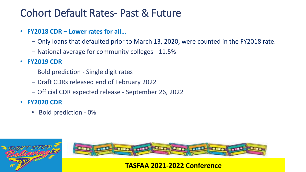### Cohort Default Rates- Past & Future

- **FY2018 CDR – Lower rates for all…**
	- ‒ Only loans that defaulted prior to March 13, 2020, were counted in the FY2018 rate.
	- National average for community colleges 11.5%
- **FY2019 CDR**
	- ‒ Bold prediction Single digit rates
	- ‒ Draft CDRs released end of February 2022
	- ‒ Official CDR expected release September 26, 2022
- **FY2020 CDR**
	- Bold prediction 0%



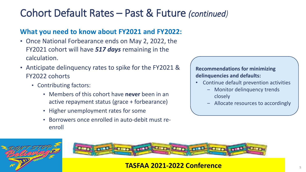# Cohort Default Rates – Past & Future *(continued)*

#### **What you need to know about FY2021 and FY2022:**

- Once National Forbearance ends on May 2, 2022, the FY2021 cohort will have *517 days* remaining in the calculation.
- Anticipate delinquency rates to spike for the FY2021 & FY2022 cohorts
	- Contributing factors:
		- Members of this cohort have **never** been in an active repayment status (grace + forbearance)
		- Higher unemployment rates for some
		- Borrowers once enrolled in auto-debit must reenroll

**Recommendations for minimizing delinquencies and defaults:**

- Continue default prevention activities
	- Monitor delinquency trends closely
	- ‒ Allocate resources to accordingly



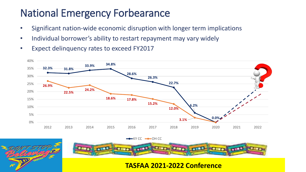# National Emergency Forbearance

- Significant nation-wide economic disruption with longer term implications
- Individual borrower's ability to restart repayment may vary widely
- Expect delinquency rates to exceed FY2017





**TASFAA 2021-2022 Conference**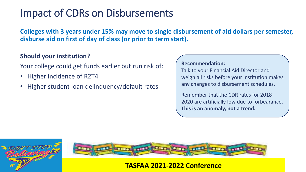# Impact of CDRs on Disbursements

**Colleges with 3 years under 15% may move to single disbursement of aid dollars per semester, disburse aid on first of day of class (or prior to term start).**

#### **Should your institution?**

Your college could get funds earlier but run risk of:

- Higher incidence of R2T4
- Higher student loan delinquency/default rates

#### **Recommendation:**

Talk to your Financial Aid Director and weigh all risks before your institution makes any changes to disbursement schedules.

Remember that the CDR rates for 2018- 2020 are artificially low due to forbearance. **This is an anomaly, not a trend.**



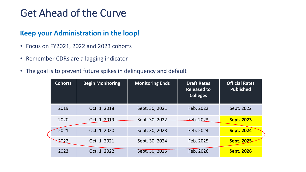# Get Ahead of the Curve

#### **Keep your Administration in the loop!**

- Focus on FY2021, 2022 and 2023 cohorts
- Remember CDRs are a lagging indicator
- The goal is to prevent future spikes in delinquency and default

| <b>Cohorts</b> | <b>Begin Monitoring</b> | <b>Monitoring Ends</b> | <b>Draft Rates</b><br><b>Released to</b><br><b>Colleges</b> | <b>Official Rates</b><br><b>Published</b> |
|----------------|-------------------------|------------------------|-------------------------------------------------------------|-------------------------------------------|
| 2019           | Oct. 1, 2018            | Sept. 30, 2021         | Feb. 2022                                                   | Sept. 2022                                |
| 2020           | Oct. 1, 2019            | Sept. 30, 2022         | $Eeb$ 2023                                                  | <b>Sept. 2023</b>                         |
| 2021           | Oct. 1, 2020            | Sept. 30, 2023         | Feb. 2024                                                   | <b>Sept. 2024</b>                         |
| $-2022$        | Oct. 1, 2021            | Sept. 30, 2024         | Feb. 2025                                                   | <b>Sept. 2025</b>                         |
| 2023           | Oct. 1, 2022            | Sept. 30, 2025         | Feb. 2026                                                   | <b>Sept. 2026</b>                         |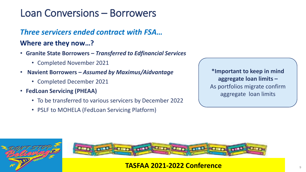## Loan Conversions – Borrowers

#### *Three servicers ended contract with FSA…*

#### **Where are they now…?**

- **Granite State Borrowers** *– Transferred to Edfinancial Services*
	- Completed November 2021
- **Navient Borrowers** *– Assumed by Maximus/Aidvantage* 
	- Completed December 2021
- **FedLoan Servicing (PHEAA)**
	- To be transferred to various servicers by December 2022
	- PSLF to MOHELA (FedLoan Servicing Platform)

**\*Important to keep in mind aggregate loan limits –** As portfolios migrate confirm aggregate loan limits



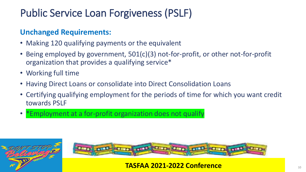# Public Service Loan Forgiveness (PSLF)

#### **Unchanged Requirements:**

- Making 120 qualifying payments or the equivalent
- Being employed by government, 501(c)(3) not-for-profit, or other not-for-profit organization that provides a qualifying service\*
- Working full time
- Having Direct Loans or consolidate into Direct Consolidation Loans
- Certifying qualifying employment for the periods of time for which you want credit towards PSLF
- \*Employment at a for-profit organization does not qualify



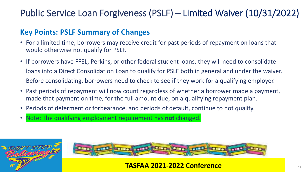#### Public Service Loan Forgiveness (PSLF) – Limited Waiver (10/31/2022)

#### **Key Points: PSLF Summary of Changes**

- For a limited time, borrowers may receive credit for past periods of repayment on loans that would otherwise not qualify for PSLF.
- If borrowers have FFEL, Perkins, or other federal student loans, they will need to consolidate loans into a Direct Consolidation Loan to qualify for PSLF both in general and under the waiver. Before consolidating, borrowers need to check to see if they work for a qualifying employer.
- Past periods of repayment will now count regardless of whether a borrower made a payment, made that payment on time, for the full amount due, on a qualifying repayment plan.
- Periods of deferment or forbearance, and periods of default, continue to not qualify.
- Note: The qualifying employment requirement has **not** changed.



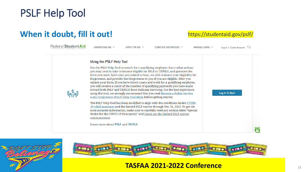### PSLF Help Tool

#### **When it doubt, fill it out!** https://studentaid.gov/pslf/

Federal Student Aid

UNDERSTAND AID  $\sim$ 

APPLY FOR AID  $\vee$ 

COMPLETE AID PROCESS  $\vee$ 

MANAGE LOANS ~

Log In | Create Account  $\mathbb Q$ 





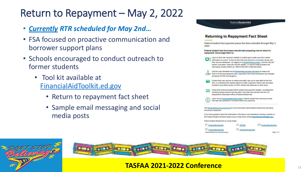## Return to Repayment – May 2, 2022

- *Currently RTR scheduled for May 2nd…*
- FSA focused on proactive communication and borrower support plans
- Schools encouraged to conduct outreach to former students
	- Tool kit available at [FinancialAidToolkit.ed.gov](https://financialaidtoolkit.ed.gov/tk/announcement-detail.jsp?id=return-to-repayment)
		- Return to repayment fact sheet
		- Sample email messaging and social media posts





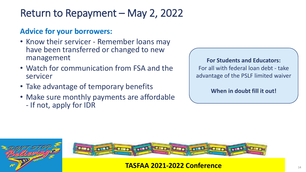# Return to Repayment – May 2, 2022

#### **Advice for your borrowers:**

- Know their servicer Remember loans may have been transferred or changed to new management
- Watch for communication from FSA and the servicer
- Take advantage of temporary benefits
- Make sure monthly payments are affordable - If not, apply for IDR

#### **For Students and Educators:**

For all with federal loan debt - take advantage of the PSLF limited waiver

**When in doubt fill it out!**



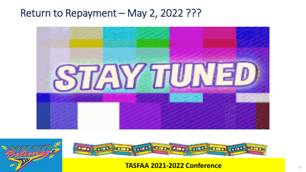#### Return to Repayment - May 2, 2022 ???